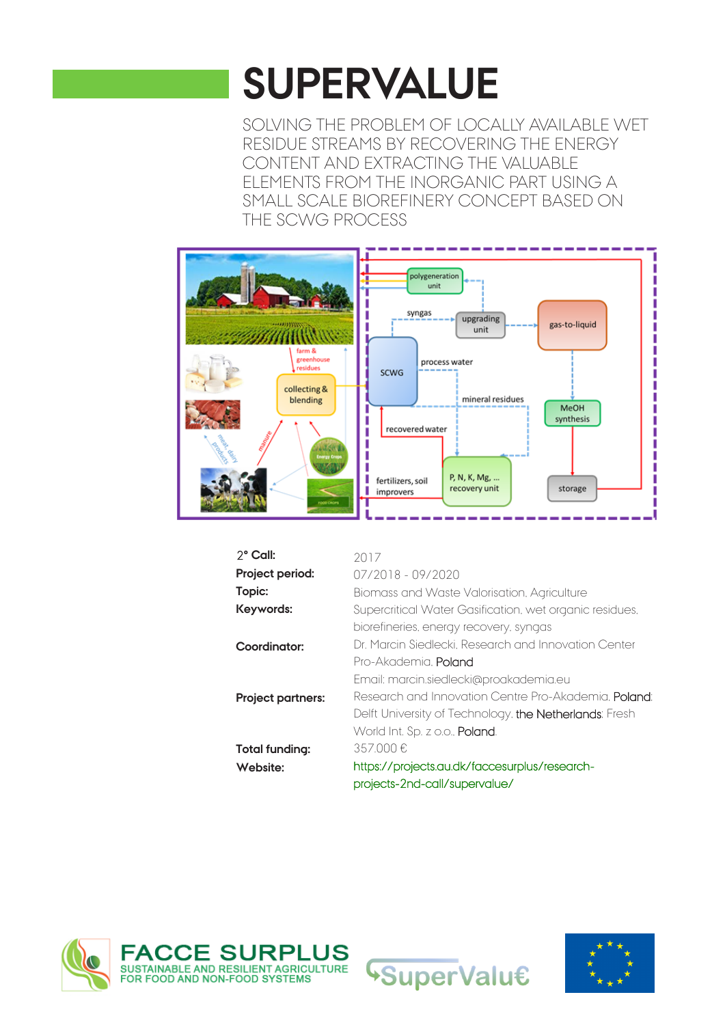## **SUPERVALUE**

SOLVING THE PROBLEM OF LOCALLY AVAILABLE WET RESIDUE STREAMS BY RECOVERING THE ENERGY CONTENT AND EXTRACTING THE VALUABLE ELEMENTS FROM THE INORGANIC PART USING A SMALL SCALE BIOREFINERY CONCEPT BASED ON THE SCWG PROCESS



| $2^{\circ}$ Call:        | 2017                                                         |
|--------------------------|--------------------------------------------------------------|
| Project period:          | $07/2018 - 09/2020$                                          |
| Topic:                   | Biomass and Waste Valorisation, Agriculture                  |
| Keywords:                | Supercritical Water Gasification, wet organic residues,      |
|                          | biorefineries, energy recovery, syngas                       |
| Coordinator:             | Dr. Marcin Siedlecki, Research and Innovation Center         |
|                          | Pro-Akademia, Poland                                         |
|                          | Email: marcin.siedlecki@proakademia.eu                       |
| <b>Project partners:</b> | Research and Innovation Centre Pro-Akademia. <b>Poland</b> : |
|                          | Delft University of Technology, the Netherlands; Fresh       |
|                          | World Int. Sp. z o.o., Poland.                               |
| Total funding:           | 357.000€                                                     |
| Website:                 | https://projects.au.dk/faccesurplus/research-                |
|                          | projects-2nd-call/supervalue/                                |